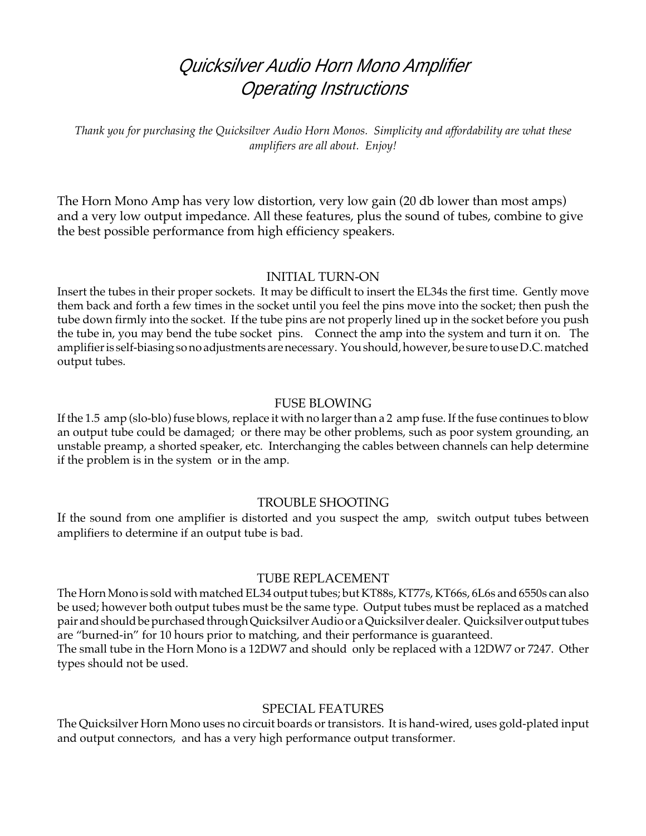# Quicksilver Audio Horn Mono Amplifier Operating Instructions

*Thank you for purchasing the Quicksilver Audio Horn Monos. Simplicity and affordability are what these amplifiers are all about. Enjoy!*

The Horn Mono Amp has very low distortion, very low gain (20 db lower than most amps) and a very low output impedance. All these features, plus the sound of tubes, combine to give the best possible performance from high efficiency speakers.

#### INITIAL TURN-ON

Insert the tubes in their proper sockets. It may be difficult to insert the EL34s the first time. Gently move them back and forth a few times in the socket until you feel the pins move into the socket; then push the tube down firmly into the socket. If the tube pins are not properly lined up in the socket before you push the tube in, you may bend the tube socket pins. Connect the amp into the system and turn it on. The amplifier is self-biasing so no adjustments are necessary. You should, however, be sure to use D.C. matched output tubes.

#### FUSE BLOWING

If the 1.5 amp (slo-blo) fuse blows, replace it with no larger than a 2 amp fuse. If the fuse continues to blow an output tube could be damaged; or there may be other problems, such as poor system grounding, an unstable preamp, a shorted speaker, etc. Interchanging the cables between channels can help determine if the problem is in the system or in the amp.

#### TROUBLE SHOOTING

If the sound from one amplifier is distorted and you suspect the amp, switch output tubes between amplifiers to determine if an output tube is bad.

#### TUBE REPLACEMENT

The Horn Mono is sold with matched EL34 output tubes; but KT88s, KT77s, KT66s, 6L6s and 6550s can also be used; however both output tubes must be the same type. Output tubes must be replaced as a matched pair and should be purchased through Quicksilver Audio or a Quicksilver dealer. Quicksilver output tubes are "burned-in" for 10 hours prior to matching, and their performance is guaranteed.

The small tube in the Horn Mono is a 12DW7 and should only be replaced with a 12DW7 or 7247. Other types should not be used.

#### SPECIAL FEATURES

The Quicksilver Horn Mono uses no circuit boards or transistors. It is hand-wired, uses gold-plated input and output connectors, and has a very high performance output transformer.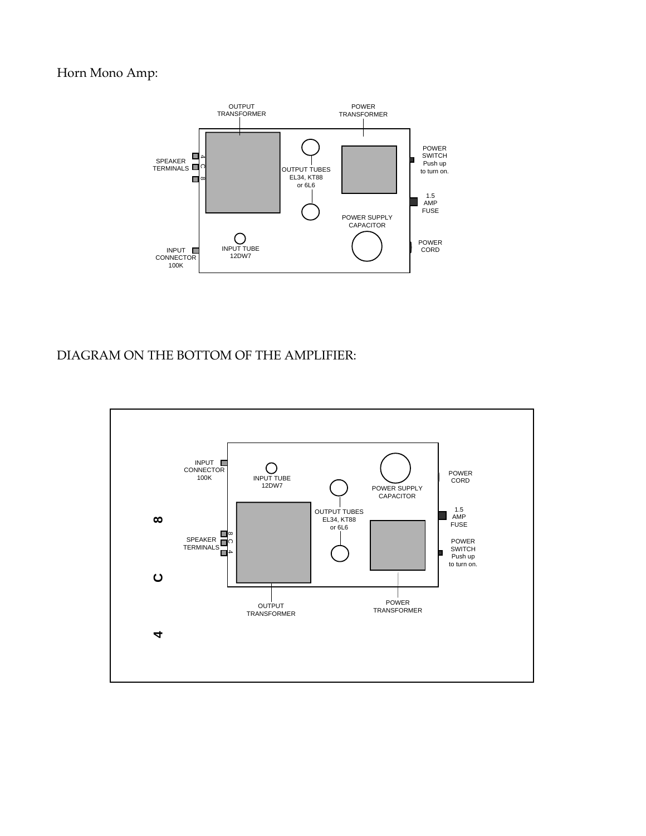## Horn Mono Amp:



### DIAGRAM ON THE BOTTOM OF THE AMPLIFIER: